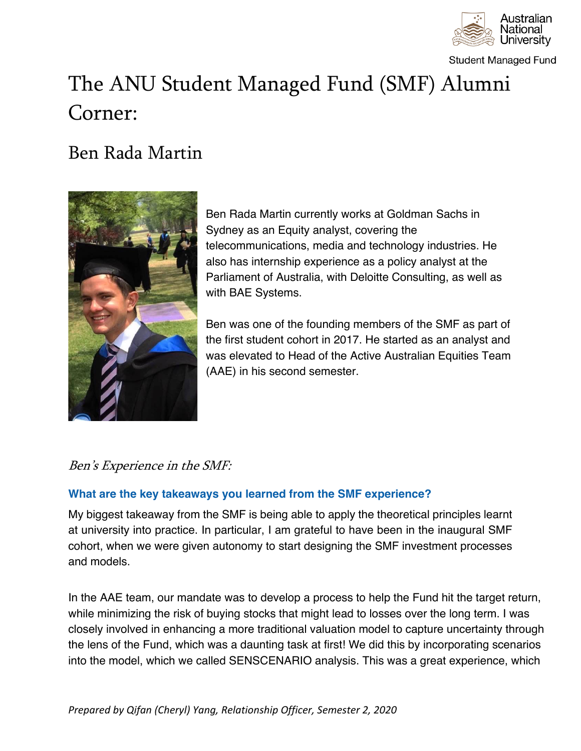

**Student Managed Fund** 

# The ANU Student Managed Fund (SMF) Alumni Corner:

## Ben Rada Martin



Ben Rada Martin currently works at Goldman Sachs in Sydney as an Equity analyst, covering the telecommunications, media and technology industries. He also has internship experience as a policy analyst at the Parliament of Australia, with Deloitte Consulting, as well as with BAE Systems.

Ben was one of the founding members of the SMF as part of the first student cohort in 2017. He started as an analyst and was elevated to Head of the Active Australian Equities Team (AAE) in his second semester.

### Ben's Experience in the SMF:

#### **What are the key takeaways you learned from the SMF experience?**

My biggest takeaway from the SMF is being able to apply the theoretical principles learnt at university into practice. In particular, I am grateful to have been in the inaugural SMF cohort, when we were given autonomy to start designing the SMF investment processes and models.

In the AAE team, our mandate was to develop a process to help the Fund hit the target return, while minimizing the risk of buying stocks that might lead to losses over the long term. I was closely involved in enhancing a more traditional valuation model to capture uncertainty through the lens of the Fund, which was a daunting task at first! We did this by incorporating scenarios into the model, which we called SENSCENARIO analysis. This was a great experience, which